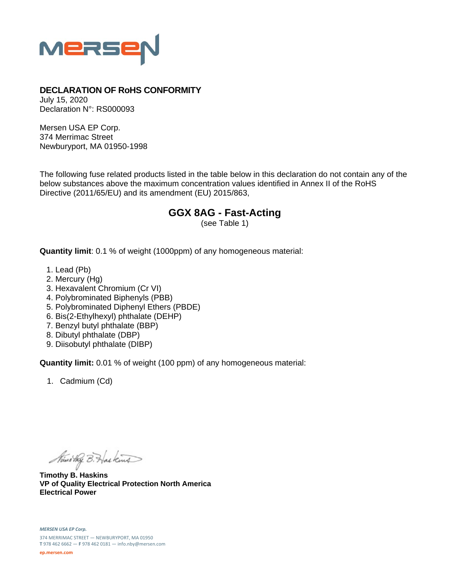

## **DECLARATION OF RoHS CONFORMITY**

July 15, 2020 Declaration N°: RS000093

Mersen USA EP Corp. 374 Merrimac Street Newburyport, MA 01950-1998

The following fuse related products listed in the table below in this declaration do not contain any of the below substances above the maximum concentration values identified in Annex II of the RoHS Directive (2011/65/EU) and its amendment (EU) 2015/863,

## **GGX 8AG - Fast-Acting**

(see Table 1)

**Quantity limit**: 0.1 % of weight (1000ppm) of any homogeneous material:

- 1. Lead (Pb)
- 2. Mercury (Hg)
- 3. Hexavalent Chromium (Cr VI)
- 4. Polybrominated Biphenyls (PBB)
- 5. Polybrominated Diphenyl Ethers (PBDE)
- 6. Bis(2-Ethylhexyl) phthalate (DEHP)
- 7. Benzyl butyl phthalate (BBP)
- 8. Dibutyl phthalate (DBP)
- 9. Diisobutyl phthalate (DIBP)

**Quantity limit:** 0.01 % of weight (100 ppm) of any homogeneous material:

1. Cadmium (Cd)

Ministry B. Haskins

**Timothy B. Haskins VP of Quality Electrical Protection North America Electrical Power**